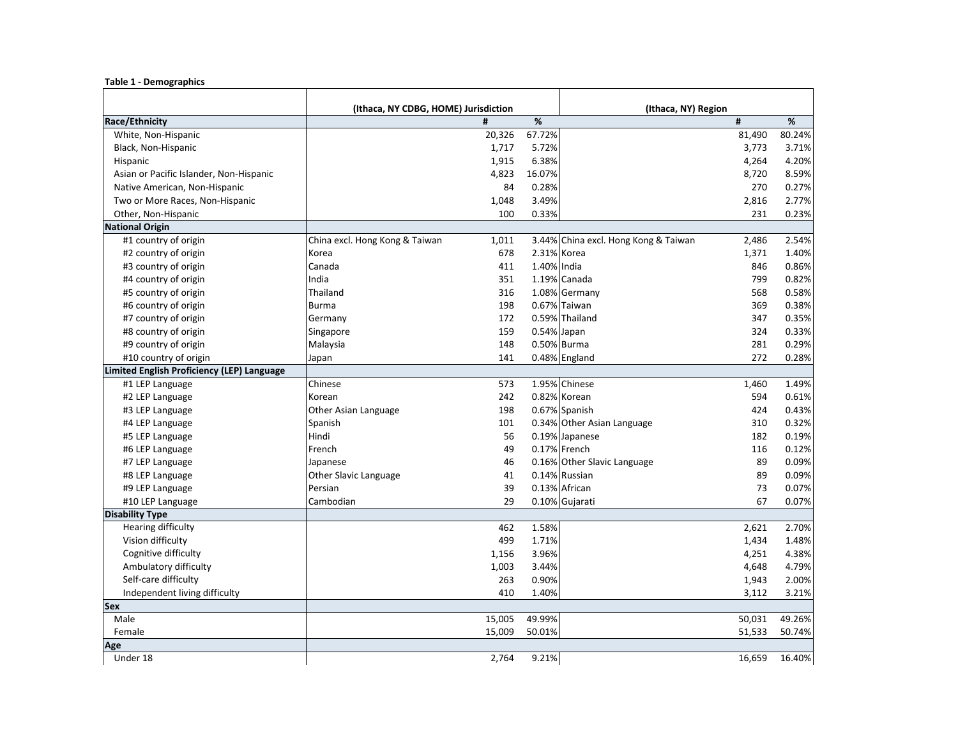## **Table 1 - Demographics**

|                                            | (Ithaca, NY CDBG, HOME) Jurisdiction |        | (Ithaca, NY) Region |                                      |        |        |
|--------------------------------------------|--------------------------------------|--------|---------------------|--------------------------------------|--------|--------|
| Race/Ethnicity                             |                                      | #      | %                   |                                      | #      | %      |
| White, Non-Hispanic                        |                                      | 20,326 | 67.72%              |                                      | 81,490 | 80.24% |
| Black, Non-Hispanic                        |                                      | 1,717  | 5.72%               |                                      | 3,773  | 3.71%  |
| Hispanic                                   |                                      | 1,915  | 6.38%               |                                      | 4,264  | 4.20%  |
| Asian or Pacific Islander, Non-Hispanic    |                                      | 4,823  | 16.07%              |                                      | 8,720  | 8.59%  |
| Native American, Non-Hispanic              |                                      | 84     | 0.28%               |                                      | 270    | 0.27%  |
| Two or More Races, Non-Hispanic            |                                      | 1,048  | 3.49%               |                                      | 2,816  | 2.77%  |
| Other, Non-Hispanic                        |                                      | 100    | 0.33%               |                                      | 231    | 0.23%  |
| <b>National Origin</b>                     |                                      |        |                     |                                      |        |        |
| #1 country of origin                       | China excl. Hong Kong & Taiwan       | 1,011  |                     | 3.44% China excl. Hong Kong & Taiwan | 2,486  | 2.54%  |
| #2 country of origin                       | Korea                                | 678    | 2.31% Korea         |                                      | 1,371  | 1.40%  |
| #3 country of origin                       | Canada                               | 411    | 1.40% India         |                                      | 846    | 0.86%  |
| #4 country of origin                       | India                                | 351    |                     | 1.19% Canada                         | 799    | 0.82%  |
| #5 country of origin                       | Thailand                             | 316    |                     | 1.08% Germany                        | 568    | 0.58%  |
| #6 country of origin                       | Burma                                | 198    |                     | 0.67% Taiwan                         | 369    | 0.38%  |
| #7 country of origin                       | Germany                              | 172    |                     | 0.59% Thailand                       | 347    | 0.35%  |
| #8 country of origin                       | Singapore                            | 159    | $0.54%$ Japan       |                                      | 324    | 0.33%  |
| #9 country of origin                       | Malaysia                             | 148    |                     | 0.50% Burma                          | 281    | 0.29%  |
| #10 country of origin                      | Japan                                | 141    |                     | 0.48% England                        | 272    | 0.28%  |
| Limited English Proficiency (LEP) Language |                                      |        |                     |                                      |        |        |
| #1 LEP Language                            | Chinese                              | 573    |                     | 1.95% Chinese                        | 1,460  | 1.49%  |
| #2 LEP Language                            | Korean                               | 242    |                     | 0.82% Korean                         | 594    | 0.61%  |
| #3 LEP Language                            | Other Asian Language                 | 198    |                     | 0.67% Spanish                        | 424    | 0.43%  |
| #4 LEP Language                            | Spanish                              | 101    |                     | 0.34% Other Asian Language           | 310    | 0.32%  |
| #5 LEP Language                            | Hindi                                | 56     |                     | 0.19% Japanese                       | 182    | 0.19%  |
| #6 LEP Language                            | French                               | 49     |                     | 0.17% French                         | 116    | 0.12%  |
| #7 LEP Language                            | Japanese                             | 46     |                     | 0.16% Other Slavic Language          | 89     | 0.09%  |
| #8 LEP Language                            | Other Slavic Language                | 41     |                     | 0.14% Russian                        | 89     | 0.09%  |
| #9 LEP Language                            | Persian                              | 39     |                     | 0.13% African                        | 73     | 0.07%  |
| #10 LEP Language                           | Cambodian                            | 29     |                     | 0.10% Gujarati                       | 67     | 0.07%  |
| <b>Disability Type</b>                     |                                      |        |                     |                                      |        |        |
| <b>Hearing difficulty</b>                  |                                      | 462    | 1.58%               |                                      | 2,621  | 2.70%  |
| Vision difficulty                          |                                      | 499    | 1.71%               |                                      | 1,434  | 1.48%  |
| Cognitive difficulty                       |                                      | 1,156  | 3.96%               |                                      | 4,251  | 4.38%  |
| Ambulatory difficulty                      |                                      | 1,003  | 3.44%               |                                      | 4,648  | 4.79%  |
| Self-care difficulty                       |                                      | 263    | 0.90%               |                                      | 1,943  | 2.00%  |
| Independent living difficulty              |                                      | 410    | 1.40%               |                                      | 3,112  | 3.21%  |
| Sex                                        |                                      |        |                     |                                      |        |        |
| Male                                       |                                      | 15,005 | 49.99%              |                                      | 50,031 | 49.26% |
| Female                                     |                                      | 15,009 | 50.01%              |                                      | 51,533 | 50.74% |
| Age                                        |                                      |        |                     |                                      |        |        |
| Under 18                                   |                                      | 2,764  | 9.21%               |                                      | 16,659 | 16.40% |